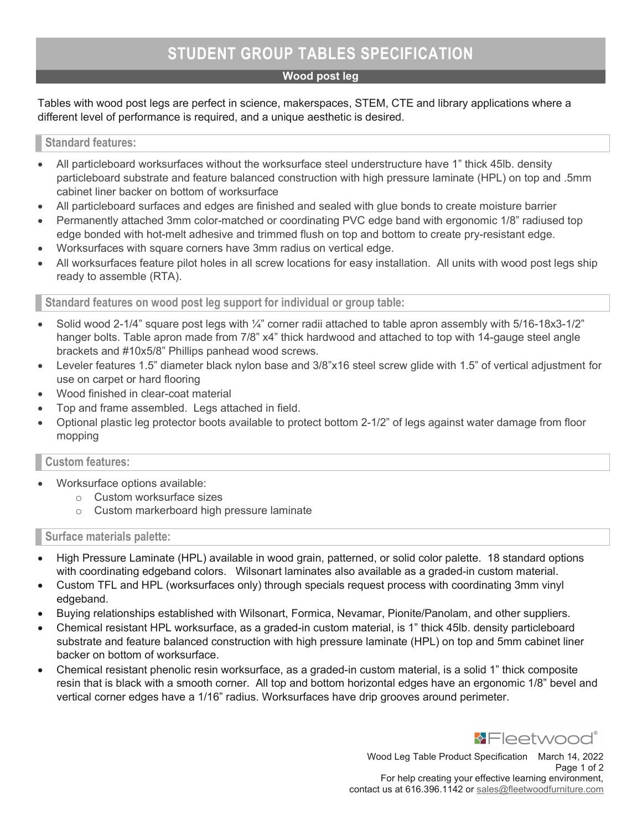# STUDENT GROUP TABLES SPECIFICATION

## Wood post leg

Tables with wood post legs are perfect in science, makerspaces, STEM, CTE and library applications where a different level of performance is required, and a unique aesthetic is desired.

### Standard features:

- All particleboard worksurfaces without the worksurface steel understructure have 1" thick 45lb. density particleboard substrate and feature balanced construction with high pressure laminate (HPL) on top and .5mm cabinet liner backer on bottom of worksurface
- All particleboard surfaces and edges are finished and sealed with glue bonds to create moisture barrier
- Permanently attached 3mm color-matched or coordinating PVC edge band with ergonomic 1/8" radiused top edge bonded with hot-melt adhesive and trimmed flush on top and bottom to create pry-resistant edge.
- Worksurfaces with square corners have 3mm radius on vertical edge.
- All worksurfaces feature pilot holes in all screw locations for easy installation. All units with wood post legs ship ready to assemble (RTA).

Standard features on wood post leg support for individual or group table:

- Solid wood 2-1/4" square post legs with ¼" corner radii attached to table apron assembly with 5/16-18x3-1/2" hanger bolts. Table apron made from 7/8" x4" thick hardwood and attached to top with 14-gauge steel angle brackets and #10x5/8" Phillips panhead wood screws.
- Leveler features 1.5" diameter black nylon base and 3/8"x16 steel screw glide with 1.5" of vertical adjustment for use on carpet or hard flooring
- Wood finished in clear-coat material
- Top and frame assembled. Legs attached in field.
- Optional plastic leg protector boots available to protect bottom 2-1/2" of legs against water damage from floor mopping

### Custom features:

- Worksurface options available:
	- o Custom worksurface sizes
	- o Custom markerboard high pressure laminate

### Surface materials palette:

- High Pressure Laminate (HPL) available in wood grain, patterned, or solid color palette. 18 standard options with coordinating edgeband colors. Wilsonart laminates also available as a graded-in custom material.
- Custom TFL and HPL (worksurfaces only) through specials request process with coordinating 3mm vinyl edgeband.
- Buying relationships established with Wilsonart, Formica, Nevamar, Pionite/Panolam, and other suppliers.
- Chemical resistant HPL worksurface, as a graded-in custom material, is 1" thick 45lb. density particleboard substrate and feature balanced construction with high pressure laminate (HPL) on top and 5mm cabinet liner backer on bottom of worksurface.
- Chemical resistant phenolic resin worksurface, as a graded-in custom material, is a solid 1" thick composite resin that is black with a smooth corner. All top and bottom horizontal edges have an ergonomic 1/8" bevel and vertical corner edges have a 1/16" radius. Worksurfaces have drip grooves around perimeter.